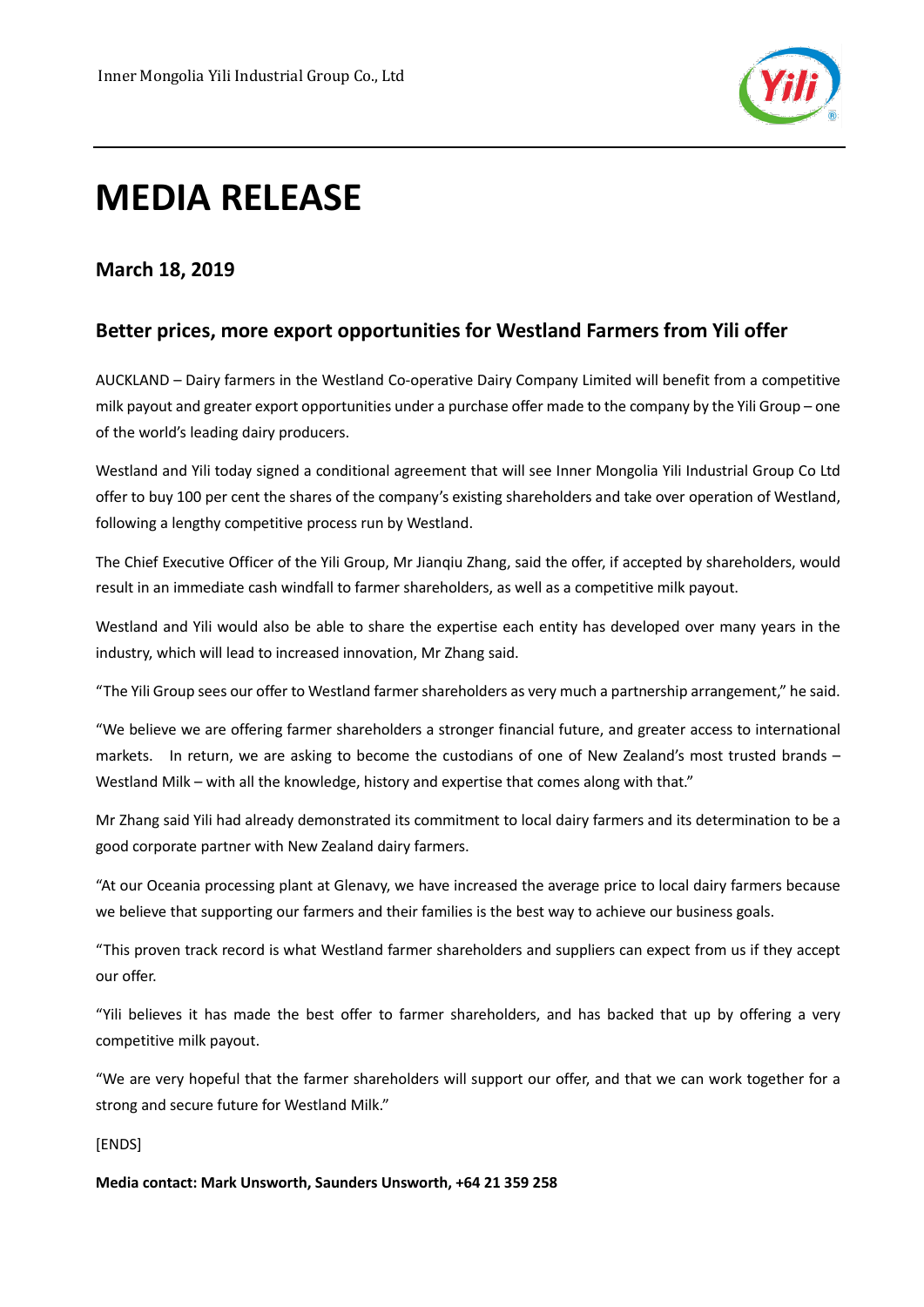

## **MEDIA RELEASE**

## **March 18, 2019**

## **Better prices, more export opportunities for Westland Farmers from Yili offer**

AUCKLAND – Dairy farmers in the Westland Co-operative Dairy Company Limited will benefit from a competitive milk payout and greater export opportunities under a purchase offer made to the company by the Yili Group – one of the world's leading dairy producers.

Westland and Yili today signed a conditional agreement that will see Inner Mongolia Yili Industrial Group Co Ltd offer to buy 100 per cent the shares of the company's existing shareholders and take over operation of Westland, following a lengthy competitive process run by Westland.

The Chief Executive Officer of the Yili Group, Mr Jianqiu Zhang, said the offer, if accepted by shareholders, would result in an immediate cash windfall to farmer shareholders, as well as a competitive milk payout.

Westland and Yili would also be able to share the expertise each entity has developed over many years in the industry, which will lead to increased innovation, Mr Zhang said.

"The Yili Group sees our offer to Westland farmer shareholders as very much a partnership arrangement," he said.

"We believe we are offering farmer shareholders a stronger financial future, and greater access to international markets. In return, we are asking to become the custodians of one of New Zealand's most trusted brands -Westland Milk – with all the knowledge, history and expertise that comes along with that."

Mr Zhang said Yili had already demonstrated its commitment to local dairy farmers and its determination to be a good corporate partner with New Zealand dairy farmers.

"At our Oceania processing plant at Glenavy, we have increased the average price to local dairy farmers because we believe that supporting our farmers and their families is the best way to achieve our business goals.

"This proven track record is what Westland farmer shareholders and suppliers can expect from us if they accept our offer.

"Yili believes it has made the best offer to farmer shareholders, and has backed that up by offering a very competitive milk payout.

"We are very hopeful that the farmer shareholders will support our offer, and that we can work together for a strong and secure future for Westland Milk."

[ENDS]

**Media contact: Mark Unsworth, Saunders Unsworth, +64 21 359 258**